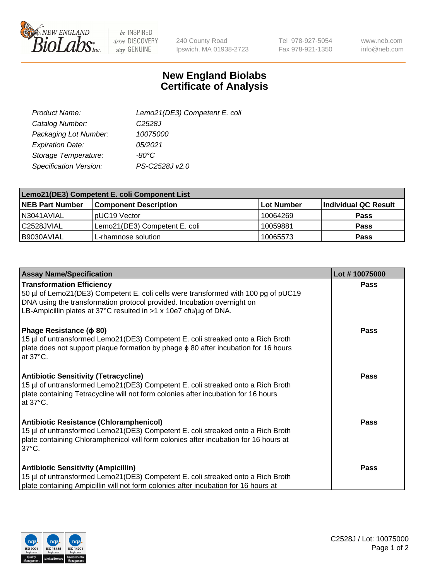

 $be$  INSPIRED drive DISCOVERY stay GENUINE

240 County Road Ipswich, MA 01938-2723 Tel 978-927-5054 Fax 978-921-1350

www.neb.com info@neb.com

## **New England Biolabs Certificate of Analysis**

| Lemo21(DE3) Competent E. coli |
|-------------------------------|
| C <sub>2528</sub> J           |
| 10075000                      |
| 05/2021                       |
| -80°C                         |
| PS-C2528J v2.0                |
|                               |

| Lemo21(DE3) Competent E. coli Component List |                               |                   |                      |  |
|----------------------------------------------|-------------------------------|-------------------|----------------------|--|
| <b>NEB Part Number</b>                       | <b>Component Description</b>  | <b>Lot Number</b> | Individual QC Result |  |
| I N3041AVIAL                                 | IpUC19 Vector                 | 10064269          | Pass                 |  |
| C2528JVIAL                                   | Lemo21(DE3) Competent E. coli | 10059881          | <b>Pass</b>          |  |
| B9030AVIAL                                   | L-rhamnose solution           | 10065573          | <b>Pass</b>          |  |

| <b>Assay Name/Specification</b>                                                                                                                                                                                                                                          | Lot #10075000 |
|--------------------------------------------------------------------------------------------------------------------------------------------------------------------------------------------------------------------------------------------------------------------------|---------------|
| <b>Transformation Efficiency</b><br>50 µl of Lemo21(DE3) Competent E. coli cells were transformed with 100 pg of pUC19<br>DNA using the transformation protocol provided. Incubation overnight on<br>LB-Ampicillin plates at 37°C resulted in $>1$ x 10e7 cfu/ug of DNA. | Pass          |
| Phage Resistance ( $\phi$ 80)<br>15 µl of untransformed Lemo21(DE3) Competent E. coli streaked onto a Rich Broth<br>plate does not support plaque formation by phage $\phi$ 80 after incubation for 16 hours<br>at $37^{\circ}$ C.                                       | Pass          |
| <b>Antibiotic Sensitivity (Tetracycline)</b><br>15 µl of untransformed Lemo21(DE3) Competent E. coli streaked onto a Rich Broth<br>plate containing Tetracycline will not form colonies after incubation for 16 hours<br>at $37^{\circ}$ C.                              | <b>Pass</b>   |
| <b>Antibiotic Resistance (Chloramphenicol)</b><br>15 µl of untransformed Lemo21(DE3) Competent E. coli streaked onto a Rich Broth<br>plate containing Chloramphenicol will form colonies after incubation for 16 hours at<br>$37^{\circ}$ C.                             | <b>Pass</b>   |
| <b>Antibiotic Sensitivity (Ampicillin)</b><br>15 µl of untransformed Lemo21(DE3) Competent E. coli streaked onto a Rich Broth<br>plate containing Ampicillin will not form colonies after incubation for 16 hours at                                                     | Pass          |